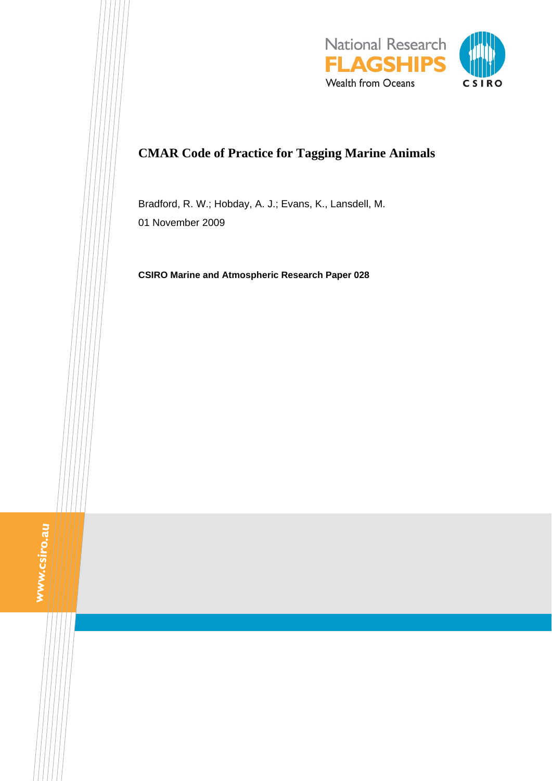

# **CMAR Code of Practice for Tagging Marine Animals**

Bradford, R. W.; Hobday, A. J.; Evans, K., Lansdell, M. 01 November 2009

**CSIRO Marine and Atmospheric Research Paper 028** 

www.csiro.au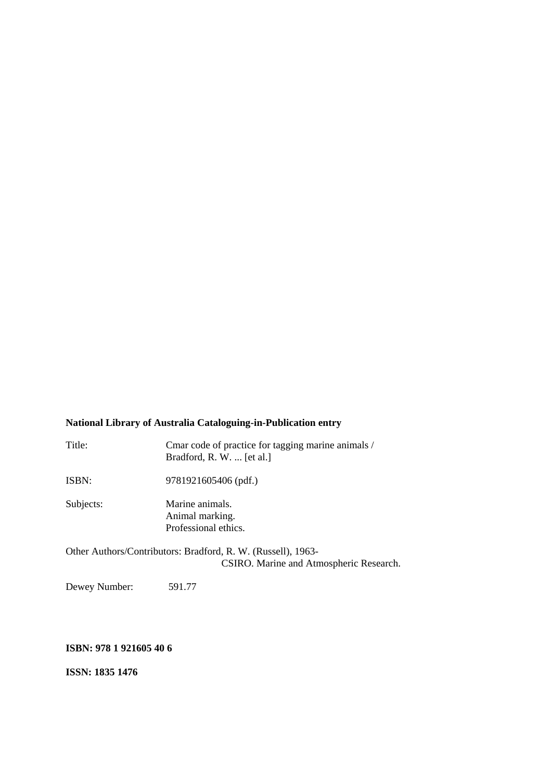### **National Library of Australia Cataloguing-in-Publication entry**

| Title:    | Cmar code of practice for tagging marine animals /<br>Bradford, R. W.  [et al.]                         |
|-----------|---------------------------------------------------------------------------------------------------------|
| ISBN:     | 9781921605406 (pdf.)                                                                                    |
| Subjects: | Marine animals.<br>Animal marking.<br>Professional ethics.                                              |
|           | Other Authors/Contributors: Bradford, R. W. (Russell), 1963-<br>CSIRO. Marine and Atmospheric Research. |

Dewey Number: 591.77

### **ISBN: 978 1 921605 40 6**

**ISSN: 1835 1476**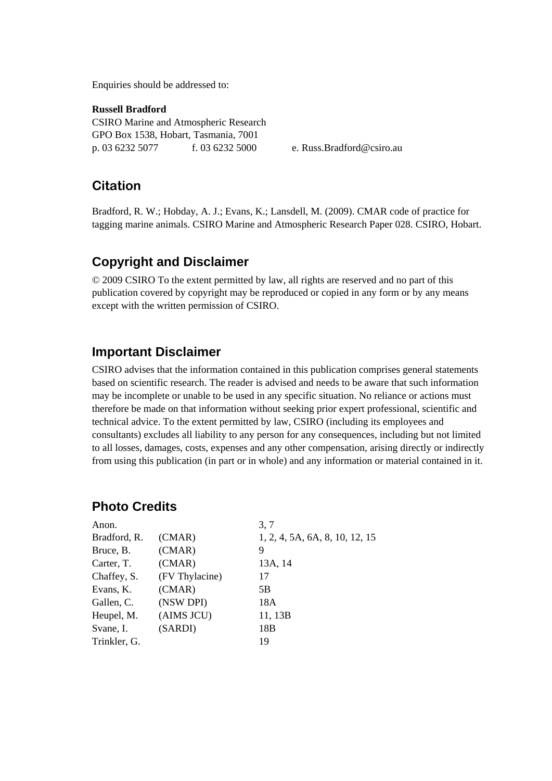Enquiries should be addressed to:

**Russell Bradford**  CSIRO Marine and Atmospheric Research GPO Box 1538, Hobart, Tasmania, 7001 p. 03 6232 5077 f. 03 6232 5000 e. Russ.Bradford@csiro.au

## **Citation**

Bradford, R. W.; Hobday, A. J.; Evans, K.; Lansdell, M. (2009). CMAR code of practice for tagging marine animals. CSIRO Marine and Atmospheric Research Paper 028. CSIRO, Hobart.

## **Copyright and Disclaimer**

© 2009 CSIRO To the extent permitted by law, all rights are reserved and no part of this publication covered by copyright may be reproduced or copied in any form or by any means except with the written permission of CSIRO.

### **Important Disclaimer**

CSIRO advises that the information contained in this publication comprises general statements based on scientific research. The reader is advised and needs to be aware that such information may be incomplete or unable to be used in any specific situation. No reliance or actions must therefore be made on that information without seeking prior expert professional, scientific and technical advice. To the extent permitted by law, CSIRO (including its employees and consultants) excludes all liability to any person for any consequences, including but not limited to all losses, damages, costs, expenses and any other compensation, arising directly or indirectly from using this publication (in part or in whole) and any information or material contained in it.

## **Photo Credits**

| Anon.        |                | 3, 7                           |
|--------------|----------------|--------------------------------|
| Bradford, R. | (CMAR)         | 1, 2, 4, 5A, 6A, 8, 10, 12, 15 |
| Bruce, B.    | (CMAR)         | 9                              |
| Carter, T.   | (CMAR)         | 13A, 14                        |
| Chaffey, S.  | (FV Thylacine) | 17                             |
| Evans, K.    | (CMAR)         | 5B                             |
| Gallen, C.   | (NSW DPI)      | 18A                            |
| Heupel, M.   | (AIMS JCU)     | 11, 13B                        |
| Svane, I.    | (SARDI)        | 18B                            |
| Trinkler, G. |                | 19                             |
|              |                |                                |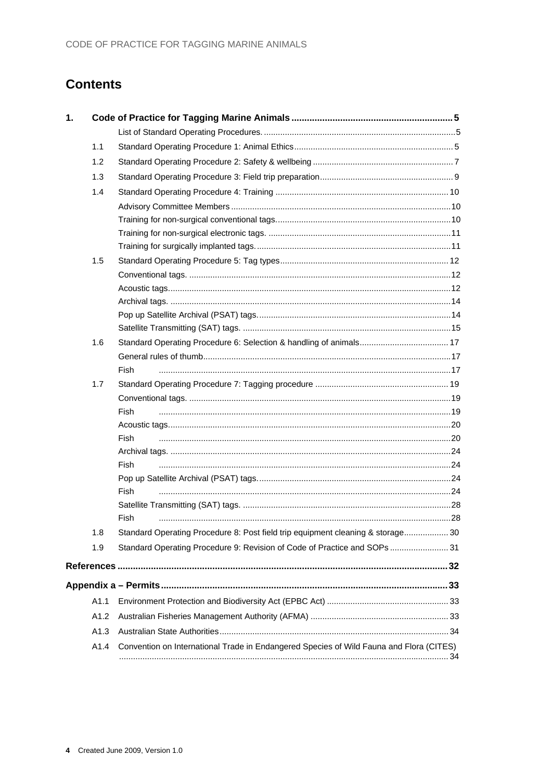# **Contents**

| $\mathbf 1$ . |      |                                                                                         |  |
|---------------|------|-----------------------------------------------------------------------------------------|--|
|               |      |                                                                                         |  |
|               | 1.1  |                                                                                         |  |
|               | 1.2  |                                                                                         |  |
|               | 1.3  |                                                                                         |  |
|               | 1.4  |                                                                                         |  |
|               |      |                                                                                         |  |
|               |      |                                                                                         |  |
|               |      |                                                                                         |  |
|               |      |                                                                                         |  |
|               | 1.5  |                                                                                         |  |
|               |      |                                                                                         |  |
|               |      |                                                                                         |  |
|               |      |                                                                                         |  |
|               |      |                                                                                         |  |
|               |      |                                                                                         |  |
|               | 1.6  |                                                                                         |  |
|               |      |                                                                                         |  |
|               |      | Fish                                                                                    |  |
|               | 1.7  |                                                                                         |  |
|               |      |                                                                                         |  |
|               |      | Fish                                                                                    |  |
|               |      |                                                                                         |  |
|               |      | Fish                                                                                    |  |
|               |      |                                                                                         |  |
|               |      | Fish                                                                                    |  |
|               |      |                                                                                         |  |
|               |      | Fish                                                                                    |  |
|               |      |                                                                                         |  |
|               |      | Fish                                                                                    |  |
|               | 1.8  | Standard Operating Procedure 8: Post field trip equipment cleaning & storage 30         |  |
|               | 1.9  | Standard Operating Procedure 9: Revision of Code of Practice and SOPs  31               |  |
|               |      |                                                                                         |  |
|               |      |                                                                                         |  |
|               | A1.1 |                                                                                         |  |
|               | A1.2 |                                                                                         |  |
|               | A1.3 |                                                                                         |  |
|               |      |                                                                                         |  |
|               | A1.4 | Convention on International Trade in Endangered Species of Wild Fauna and Flora (CITES) |  |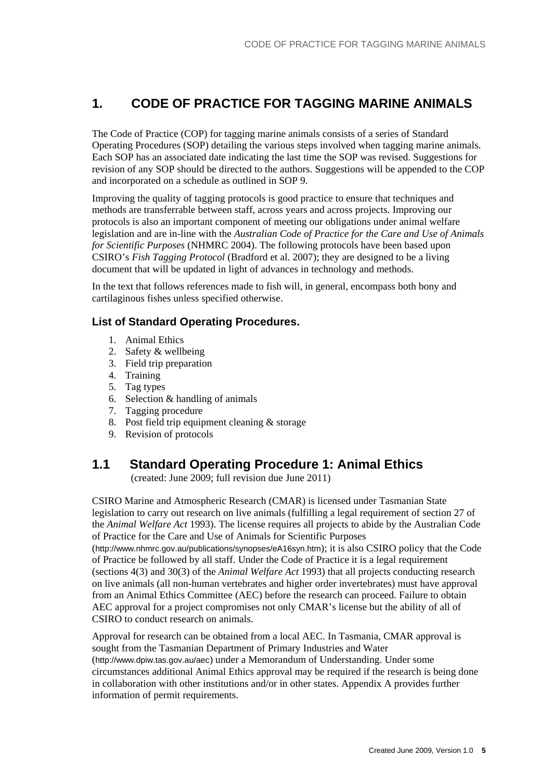## <span id="page-4-0"></span>**1. CODE OF PRACTICE FOR TAGGING MARINE ANIMALS**

The Code of Practice (COP) for tagging marine animals consists of a series of Standard Operating Procedures (SOP) detailing the various steps involved when tagging marine animals. Each SOP has an associated date indicating the last time the SOP was revised. Suggestions for revision of any SOP should be directed to the authors. Suggestions will be appended to the COP and incorporated on a schedule as outlined in SOP 9.

Improving the quality of tagging protocols is good practice to ensure that techniques and methods are transferrable between staff, across years and across projects. Improving our protocols is also an important component of meeting our obligations under animal welfare legislation and are in-line with the *Australian Code of Practice for the Care and Use of Animals for Scientific Purposes* (NHMRC 2004). The following protocols have been based upon CSIRO's *Fish Tagging Protocol* (Bradford et al. 2007); they are designed to be a living document that will be updated in light of advances in technology and methods.

In the text that follows references made to fish will, in general, encompass both bony and cartilaginous fishes unless specified otherwise.

#### <span id="page-4-1"></span>**List of Standard Operating Procedures.**

- 1. Animal Ethics
- 2. Safety & wellbeing
- 3. Field trip preparation
- 4. Training
- 5. Tag types
- 6. Selection & handling of animals
- 7. Tagging procedure
- 8. Post field trip equipment cleaning & storage
- 9. Revision of protocols

## <span id="page-4-2"></span>**1.1 Standard Operating Procedure 1: Animal Ethics**

(created: June 2009; full revision due June 2011)

CSIRO Marine and Atmospheric Research (CMAR) is licensed under Tasmanian State legislation to carry out research on live animals (fulfilling a legal requirement of section 27 of the *Animal Welfare Act* 1993). The license requires all projects to abide by the Australian Code of Practice for the Care and Use of Animals for Scientific Purposes

(http://www.nhmrc.gov.au/publications/synopses/eA16syn.htm); it is also CSIRO policy that the Code of Practice be followed by all staff. Under the Code of Practice it is a legal requirement (sections 4(3) and 30(3) of the *Animal Welfare Act* 1993) that all projects conducting research on live animals (all non-human vertebrates and higher order invertebrates) must have approval from an Animal Ethics Committee (AEC) before the research can proceed. Failure to obtain AEC approval for a project compromises not only CMAR's license but the ability of all of CSIRO to conduct research on animals.

Approval for research can be obtained from a local AEC. In Tasmania, CMAR approval is sought from the Tasmanian Department of Primary Industries and Water (http://www.dpiw.tas.gov.au/aec) under a Memorandum of Understanding. Under some circumstances additional Animal Ethics approval may be required if the research is being done in collaboration with other institutions and/or in other states. Appendix A provides further information of permit requirements.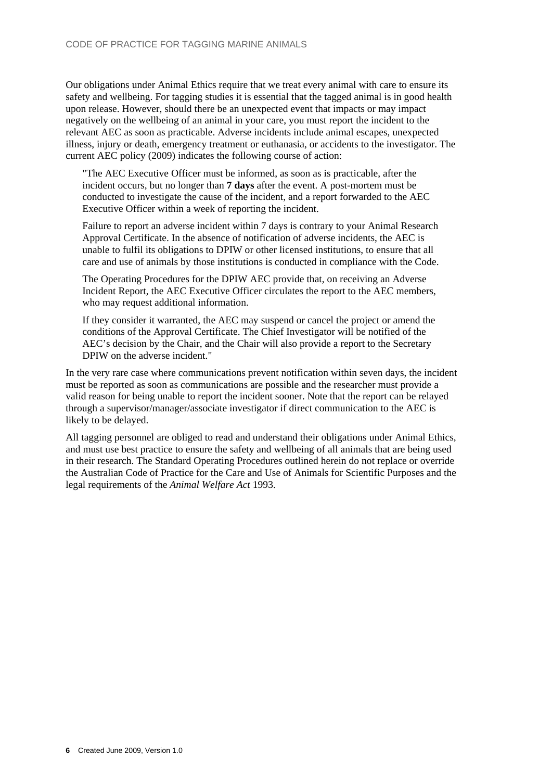Our obligations under Animal Ethics require that we treat every animal with care to ensure its safety and wellbeing. For tagging studies it is essential that the tagged animal is in good health upon release. However, should there be an unexpected event that impacts or may impact negatively on the wellbeing of an animal in your care, you must report the incident to the relevant AEC as soon as practicable. Adverse incidents include animal escapes, unexpected illness, injury or death, emergency treatment or euthanasia, or accidents to the investigator. The current AEC policy (2009) indicates the following course of action:

"The AEC Executive Officer must be informed, as soon as is practicable, after the incident occurs, but no longer than **7 days** after the event. A post-mortem must be conducted to investigate the cause of the incident, and a report forwarded to the AEC Executive Officer within a week of reporting the incident.

Failure to report an adverse incident within 7 days is contrary to your Animal Research Approval Certificate. In the absence of notification of adverse incidents, the AEC is unable to fulfil its obligations to DPIW or other licensed institutions, to ensure that all care and use of animals by those institutions is conducted in compliance with the Code.

The Operating Procedures for the DPIW AEC provide that, on receiving an Adverse Incident Report, the AEC Executive Officer circulates the report to the AEC members, who may request additional information.

If they consider it warranted, the AEC may suspend or cancel the project or amend the conditions of the Approval Certificate. The Chief Investigator will be notified of the AEC's decision by the Chair, and the Chair will also provide a report to the Secretary DPIW on the adverse incident."

In the very rare case where communications prevent notification within seven days, the incident must be reported as soon as communications are possible and the researcher must provide a valid reason for being unable to report the incident sooner. Note that the report can be relayed through a supervisor/manager/associate investigator if direct communication to the AEC is likely to be delayed.

All tagging personnel are obliged to read and understand their obligations under Animal Ethics, and must use best practice to ensure the safety and wellbeing of all animals that are being used in their research. The Standard Operating Procedures outlined herein do not replace or override the Australian Code of Practice for the Care and Use of Animals for Scientific Purposes and the legal requirements of the *Animal Welfare Act* 1993.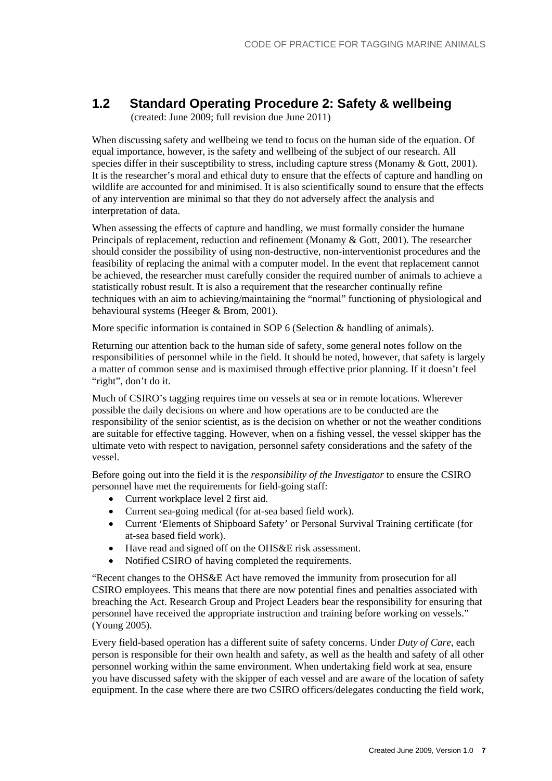## <span id="page-6-0"></span>**1.2 Standard Operating Procedure 2: Safety & wellbeing**

(created: June 2009; full revision due June 2011)

When discussing safety and wellbeing we tend to focus on the human side of the equation. Of equal importance, however, is the safety and wellbeing of the subject of our research. All species differ in their susceptibility to stress, including capture stress (Monamy & Gott, 2001). It is the researcher's moral and ethical duty to ensure that the effects of capture and handling on wildlife are accounted for and minimised. It is also scientifically sound to ensure that the effects of any intervention are minimal so that they do not adversely affect the analysis and interpretation of data.

When assessing the effects of capture and handling, we must formally consider the humane Principals of replacement, reduction and refinement (Monamy & Gott, 2001). The researcher should consider the possibility of using non-destructive, non-interventionist procedures and the feasibility of replacing the animal with a computer model. In the event that replacement cannot be achieved, the researcher must carefully consider the required number of animals to achieve a statistically robust result. It is also a requirement that the researcher continually refine techniques with an aim to achieving/maintaining the "normal" functioning of physiological and behavioural systems (Heeger & Brom, 2001).

More specific information is contained in SOP 6 (Selection & handling of animals).

Returning our attention back to the human side of safety, some general notes follow on the responsibilities of personnel while in the field. It should be noted, however, that safety is largely a matter of common sense and is maximised through effective prior planning. If it doesn't feel "right", don't do it.

Much of CSIRO's tagging requires time on vessels at sea or in remote locations. Wherever possible the daily decisions on where and how operations are to be conducted are the responsibility of the senior scientist, as is the decision on whether or not the weather conditions are suitable for effective tagging. However, when on a fishing vessel, the vessel skipper has the ultimate veto with respect to navigation, personnel safety considerations and the safety of the vessel.

Before going out into the field it is the *responsibility of the Investigator* to ensure the CSIRO personnel have met the requirements for field-going staff:

- Current workplace level 2 first aid.
- Current sea-going medical (for at-sea based field work).
- Current 'Elements of Shipboard Safety' or Personal Survival Training certificate (for at-sea based field work).
- Have read and signed off on the OHS&E risk assessment.
- Notified CSIRO of having completed the requirements.

"Recent changes to the OHS&E Act have removed the immunity from prosecution for all CSIRO employees. This means that there are now potential fines and penalties associated with breaching the Act. Research Group and Project Leaders bear the responsibility for ensuring that personnel have received the appropriate instruction and training before working on vessels." (Young 2005).

Every field-based operation has a different suite of safety concerns. Under *Duty of Care*, each person is responsible for their own health and safety, as well as the health and safety of all other personnel working within the same environment. When undertaking field work at sea, ensure you have discussed safety with the skipper of each vessel and are aware of the location of safety equipment. In the case where there are two CSIRO officers/delegates conducting the field work,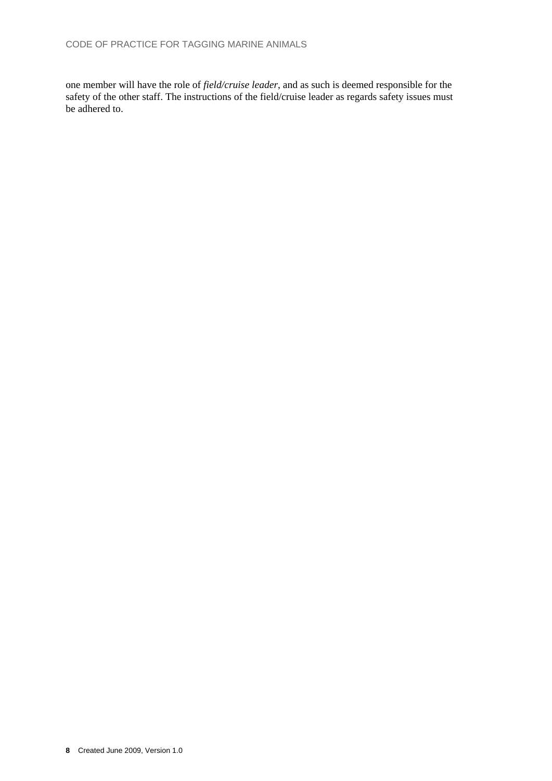one member will have the role of *field/cruise leader*, and as such is deemed responsible for the safety of the other staff. The instructions of the field/cruise leader as regards safety issues must be adhered to.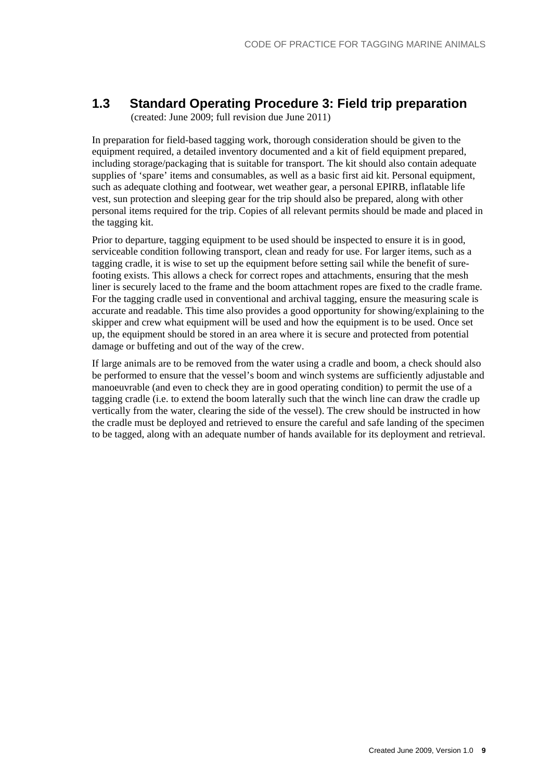## <span id="page-8-0"></span>**1.3 Standard Operating Procedure 3: Field trip preparation**

(created: June 2009; full revision due June 2011)

In preparation for field-based tagging work, thorough consideration should be given to the equipment required, a detailed inventory documented and a kit of field equipment prepared, including storage/packaging that is suitable for transport. The kit should also contain adequate supplies of 'spare' items and consumables, as well as a basic first aid kit. Personal equipment, such as adequate clothing and footwear, wet weather gear, a personal EPIRB, inflatable life vest, sun protection and sleeping gear for the trip should also be prepared, along with other personal items required for the trip. Copies of all relevant permits should be made and placed in the tagging kit.

Prior to departure, tagging equipment to be used should be inspected to ensure it is in good, serviceable condition following transport, clean and ready for use. For larger items, such as a tagging cradle, it is wise to set up the equipment before setting sail while the benefit of surefooting exists. This allows a check for correct ropes and attachments, ensuring that the mesh liner is securely laced to the frame and the boom attachment ropes are fixed to the cradle frame. For the tagging cradle used in conventional and archival tagging, ensure the measuring scale is accurate and readable. This time also provides a good opportunity for showing/explaining to the skipper and crew what equipment will be used and how the equipment is to be used. Once set up, the equipment should be stored in an area where it is secure and protected from potential damage or buffeting and out of the way of the crew.

If large animals are to be removed from the water using a cradle and boom, a check should also be performed to ensure that the vessel's boom and winch systems are sufficiently adjustable and manoeuvrable (and even to check they are in good operating condition) to permit the use of a tagging cradle (i.e. to extend the boom laterally such that the winch line can draw the cradle up vertically from the water, clearing the side of the vessel). The crew should be instructed in how the cradle must be deployed and retrieved to ensure the careful and safe landing of the specimen to be tagged, along with an adequate number of hands available for its deployment and retrieval.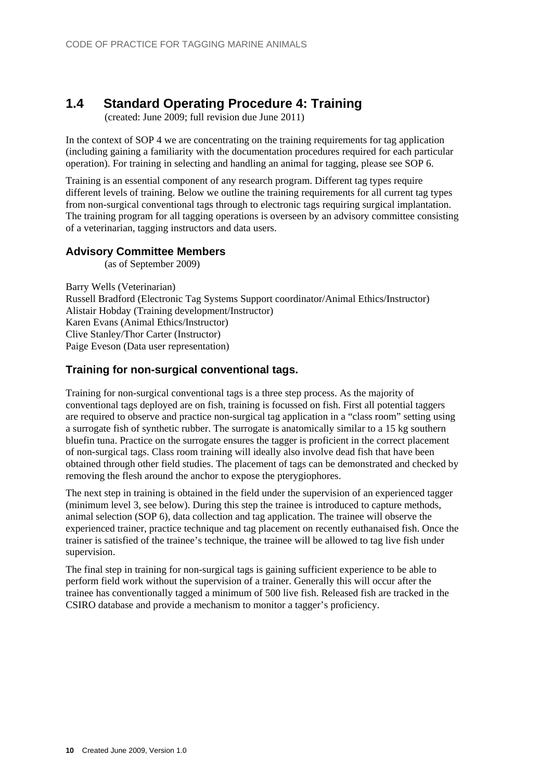## <span id="page-9-0"></span>**1.4 Standard Operating Procedure 4: Training**

(created: June 2009; full revision due June 2011)

In the context of SOP 4 we are concentrating on the training requirements for tag application (including gaining a familiarity with the documentation procedures required for each particular operation). For training in selecting and handling an animal for tagging, please see SOP 6.

Training is an essential component of any research program. Different tag types require different levels of training. Below we outline the training requirements for all current tag types from non-surgical conventional tags through to electronic tags requiring surgical implantation. The training program for all tagging operations is overseen by an advisory committee consisting of a veterinarian, tagging instructors and data users.

#### <span id="page-9-1"></span>**Advisory Committee Members**

(as of September 2009)

Barry Wells (Veterinarian) Russell Bradford (Electronic Tag Systems Support coordinator/Animal Ethics/Instructor) Alistair Hobday (Training development/Instructor) Karen Evans (Animal Ethics/Instructor) Clive Stanley/Thor Carter (Instructor) Paige Eveson (Data user representation)

### <span id="page-9-2"></span>**Training for non-surgical conventional tags.**

Training for non-surgical conventional tags is a three step process. As the majority of conventional tags deployed are on fish, training is focussed on fish. First all potential taggers are required to observe and practice non-surgical tag application in a "class room" setting using a surrogate fish of synthetic rubber. The surrogate is anatomically similar to a 15 kg southern bluefin tuna. Practice on the surrogate ensures the tagger is proficient in the correct placement of non-surgical tags. Class room training will ideally also involve dead fish that have been obtained through other field studies. The placement of tags can be demonstrated and checked by removing the flesh around the anchor to expose the pterygiophores.

The next step in training is obtained in the field under the supervision of an experienced tagger (minimum level 3, see below). During this step the trainee is introduced to capture methods, animal selection (SOP 6), data collection and tag application. The trainee will observe the experienced trainer, practice technique and tag placement on recently euthanaised fish. Once the trainer is satisfied of the trainee's technique, the trainee will be allowed to tag live fish under supervision.

The final step in training for non-surgical tags is gaining sufficient experience to be able to perform field work without the supervision of a trainer. Generally this will occur after the trainee has conventionally tagged a minimum of 500 live fish. Released fish are tracked in the CSIRO database and provide a mechanism to monitor a tagger's proficiency.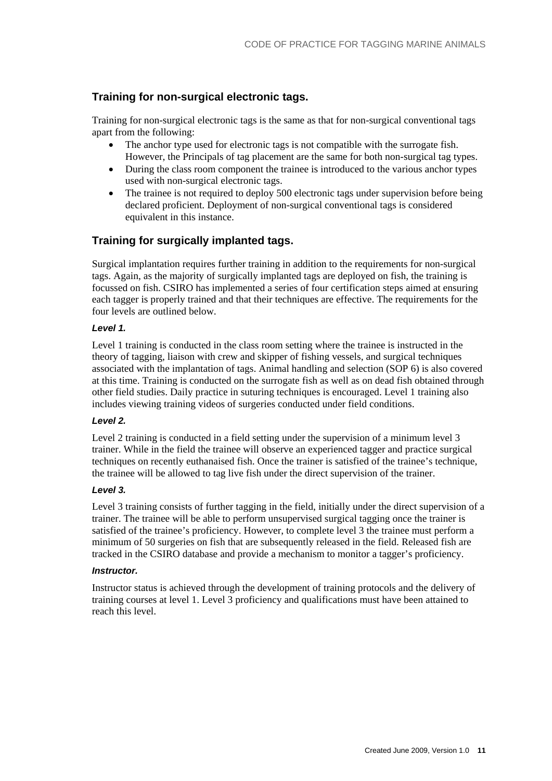### **Training for non-surgical electronic tags.**

Training for non-surgical electronic tags is the same as that for non-surgical conventional tags apart from the following:

- The anchor type used for electronic tags is not compatible with the surrogate fish. However, the Principals of tag placement are the same for both non-surgical tag types.
- During the class room component the trainee is introduced to the various anchor types used with non-surgical electronic tags.
- The trainee is not required to deploy 500 electronic tags under supervision before being declared proficient. Deployment of non-surgical conventional tags is considered equivalent in this instance.

### <span id="page-10-1"></span>**Training for surgically implanted tags.**

Surgical implantation requires further training in addition to the requirements for non-surgical tags. Again, as the majority of surgically implanted tags are deployed on fish, the training is focussed on fish. CSIRO has implemented a series of four certification steps aimed at ensuring each tagger is properly trained and that their techniques are effective. The requirements for the four levels are outlined below.

#### *Level 1.*

Level 1 training is conducted in the class room setting where the trainee is instructed in the theory of tagging, liaison with crew and skipper of fishing vessels, and surgical techniques associated with the implantation of tags. Animal handling and selection (SOP 6) is also covered at this time. Training is conducted on the surrogate fish as well as on dead fish obtained through other field studies. Daily practice in suturing techniques is encouraged. Level 1 training also includes viewing training videos of surgeries conducted under field conditions.

#### *Level 2.*

Level 2 training is conducted in a field setting under the supervision of a minimum level 3 trainer. While in the field the trainee will observe an experienced tagger and practice surgical techniques on recently euthanaised fish. Once the trainer is satisfied of the trainee's technique, the trainee will be allowed to tag live fish under the direct supervision of the trainer.

#### *Level 3.*

Level 3 training consists of further tagging in the field, initially under the direct supervision of a trainer. The trainee will be able to perform unsupervised surgical tagging once the trainer is satisfied of the trainee's proficiency. However, to complete level 3 the trainee must perform a minimum of 50 surgeries on fish that are subsequently released in the field. Released fish are tracked in the CSIRO database and provide a mechanism to monitor a tagger's proficiency.

#### *Instructor.*

<span id="page-10-0"></span>Instructor status is achieved through the development of training protocols and the delivery of training courses at level 1. Level 3 proficiency and qualifications must have been attained to reach this level.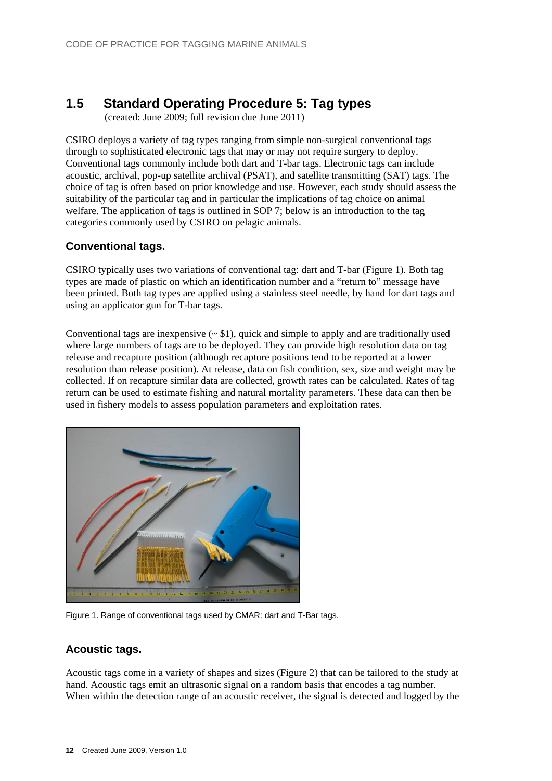## <span id="page-11-0"></span>**1.5 Standard Operating Procedure 5: Tag types**

(created: June 2009; full revision due June 2011)

CSIRO deploys a variety of tag types ranging from simple non-surgical conventional tags through to sophisticated electronic tags that may or may not require surgery to deploy. Conventional tags commonly include both dart and T-bar tags. Electronic tags can include acoustic, archival, pop-up satellite archival (PSAT), and satellite transmitting (SAT) tags. The choice of tag is often based on prior knowledge and use. However, each study should assess the suitability of the particular tag and in particular the implications of tag choice on animal welfare. The application of tags is outlined in SOP 7; below is an introduction to the tag categories commonly used by CSIRO on pelagic animals.

### <span id="page-11-1"></span>**Conventional tags.**

CSIRO typically uses two variations of conventional tag: dart and T-bar (Figure 1). Both tag types are made of plastic on which an identification number and a "return to" message have been printed. Both tag types are applied using a stainless steel needle, by hand for dart tags and using an applicator gun for T-bar tags.

Conventional tags are inexpensive  $($   $\sim$  \$1), quick and simple to apply and are traditionally used where large numbers of tags are to be deployed. They can provide high resolution data on tag release and recapture position (although recapture positions tend to be reported at a lower resolution than release position). At release, data on fish condition, sex, size and weight may be collected. If on recapture similar data are collected, growth rates can be calculated. Rates of tag return can be used to estimate fishing and natural mortality parameters. These data can then be used in fishery models to assess population parameters and exploitation rates.



Figure 1. Range of conventional tags used by CMAR: dart and T-Bar tags.

### <span id="page-11-2"></span>**Acoustic tags.**

Acoustic tags come in a variety of shapes and sizes (Figure 2) that can be tailored to the study at hand. Acoustic tags emit an ultrasonic signal on a random basis that encodes a tag number. When within the detection range of an acoustic receiver, the signal is detected and logged by the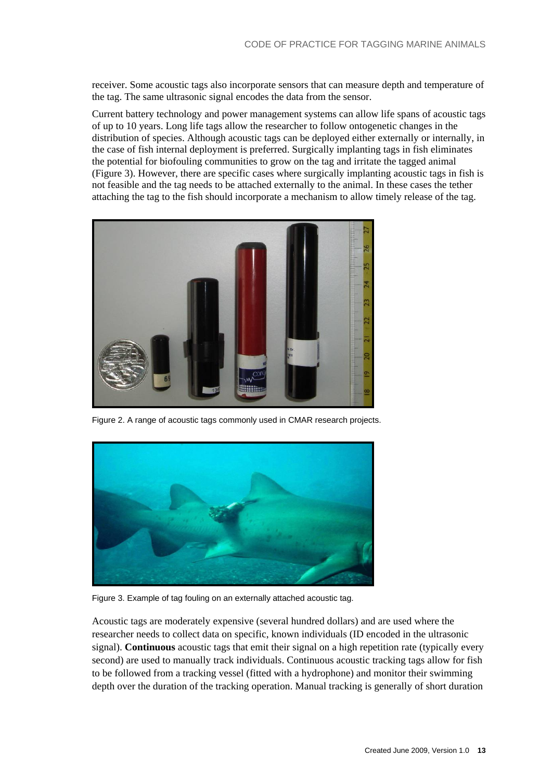receiver. Some acoustic tags also incorporate sensors that can measure depth and temperature of the tag. The same ultrasonic signal encodes the data from the sensor.

Current battery technology and power management systems can allow life spans of acoustic tags of up to 10 years. Long life tags allow the researcher to follow ontogenetic changes in the distribution of species. Although acoustic tags can be deployed either externally or internally, in the case of fish internal deployment is preferred. Surgically implanting tags in fish eliminates the potential for biofouling communities to grow on the tag and irritate the tagged animal (Figure 3). However, there are specific cases where surgically implanting acoustic tags in fish is not feasible and the tag needs to be attached externally to the animal. In these cases the tether attaching the tag to the fish should incorporate a mechanism to allow timely release of the tag.



Figure 2. A range of acoustic tags commonly used in CMAR research projects.



Figure 3. Example of tag fouling on an externally attached acoustic tag.

Acoustic tags are moderately expensive (several hundred dollars) and are used where the researcher needs to collect data on specific, known individuals (ID encoded in the ultrasonic signal). **Continuous** acoustic tags that emit their signal on a high repetition rate (typically every second) are used to manually track individuals. Continuous acoustic tracking tags allow for fish to be followed from a tracking vessel (fitted with a hydrophone) and monitor their swimming depth over the duration of the tracking operation. Manual tracking is generally of short duration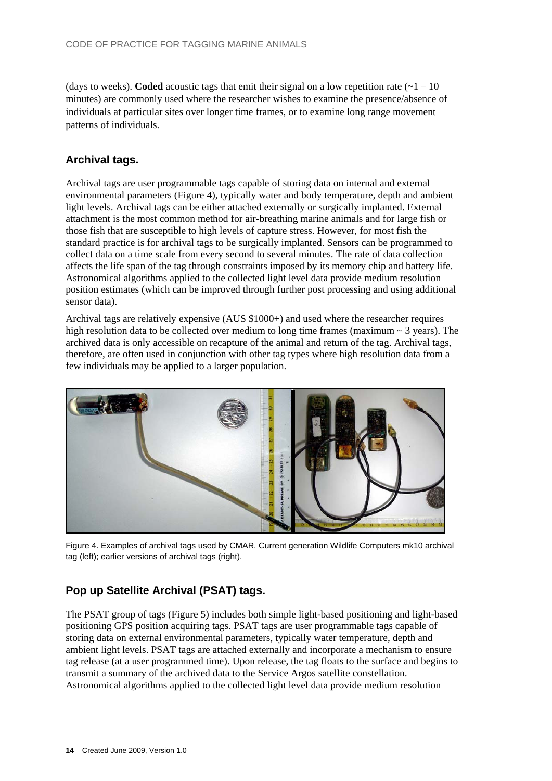(days to weeks). **Coded** acoustic tags that emit their signal on a low repetition rate  $(-1 - 10)$ minutes) are commonly used where the researcher wishes to examine the presence/absence of individuals at particular sites over longer time frames, or to examine long range movement patterns of individuals.

### <span id="page-13-0"></span>**Archival tags.**

Archival tags are user programmable tags capable of storing data on internal and external environmental parameters (Figure 4), typically water and body temperature, depth and ambient light levels. Archival tags can be either attached externally or surgically implanted. External attachment is the most common method for air-breathing marine animals and for large fish or those fish that are susceptible to high levels of capture stress. However, for most fish the standard practice is for archival tags to be surgically implanted. Sensors can be programmed to collect data on a time scale from every second to several minutes. The rate of data collection affects the life span of the tag through constraints imposed by its memory chip and battery life. Astronomical algorithms applied to the collected light level data provide medium resolution position estimates (which can be improved through further post processing and using additional sensor data).

Archival tags are relatively expensive (AUS \$1000+) and used where the researcher requires high resolution data to be collected over medium to long time frames (maximum  $\sim$  3 years). The archived data is only accessible on recapture of the animal and return of the tag. Archival tags, therefore, are often used in conjunction with other tag types where high resolution data from a few individuals may be applied to a larger population.



Figure 4. Examples of archival tags used by CMAR. Current generation Wildlife Computers mk10 archival tag (left); earlier versions of archival tags (right).

### <span id="page-13-1"></span>**Pop up Satellite Archival (PSAT) tags.**

The PSAT group of tags (Figure 5) includes both simple light-based positioning and light-based positioning GPS position acquiring tags. PSAT tags are user programmable tags capable of storing data on external environmental parameters, typically water temperature, depth and ambient light levels. PSAT tags are attached externally and incorporate a mechanism to ensure tag release (at a user programmed time). Upon release, the tag floats to the surface and begins to transmit a summary of the archived data to the Service Argos satellite constellation. Astronomical algorithms applied to the collected light level data provide medium resolution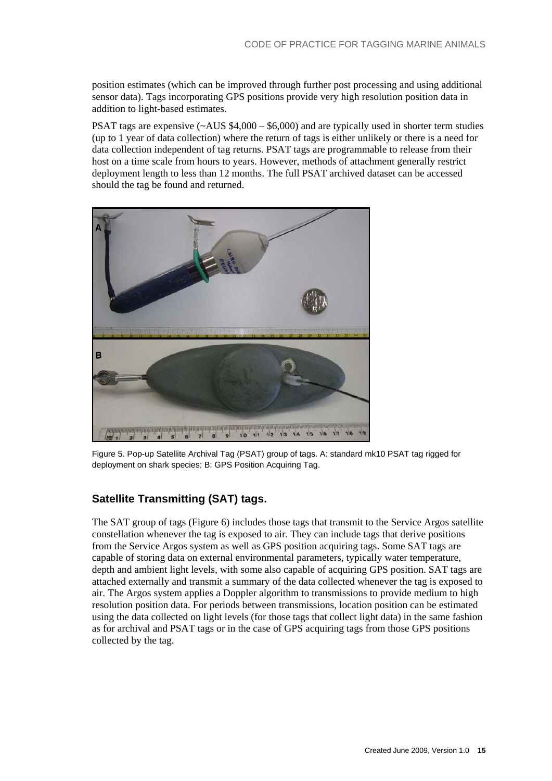position estimates (which can be improved through further post processing and using additional sensor data). Tags incorporating GPS positions provide very high resolution position data in addition to light-based estimates.

PSAT tags are expensive  $(\sim AUS \ $4,000 - $6,000)$  and are typically used in shorter term studies (up to 1 year of data collection) where the return of tags is either unlikely or there is a need for data collection independent of tag returns. PSAT tags are programmable to release from their host on a time scale from hours to years. However, methods of attachment generally restrict deployment length to less than 12 months. The full PSAT archived dataset can be accessed should the tag be found and returned.



Figure 5. Pop-up Satellite Archival Tag (PSAT) group of tags. A: standard mk10 PSAT tag rigged for deployment on shark species; B: GPS Position Acquiring Tag.

### <span id="page-14-0"></span>**Satellite Transmitting (SAT) tags.**

The SAT group of tags (Figure 6) includes those tags that transmit to the Service Argos satellite constellation whenever the tag is exposed to air. They can include tags that derive positions from the Service Argos system as well as GPS position acquiring tags. Some SAT tags are capable of storing data on external environmental parameters, typically water temperature, depth and ambient light levels, with some also capable of acquiring GPS position. SAT tags are attached externally and transmit a summary of the data collected whenever the tag is exposed to air. The Argos system applies a Doppler algorithm to transmissions to provide medium to high resolution position data. For periods between transmissions, location position can be estimated using the data collected on light levels (for those tags that collect light data) in the same fashion as for archival and PSAT tags or in the case of GPS acquiring tags from those GPS positions collected by the tag.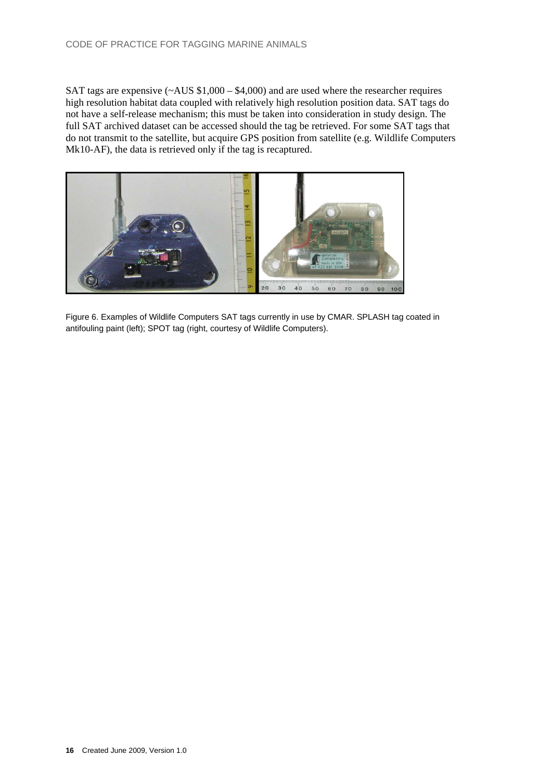SAT tags are expensive  $(\sim AUS \ $1,000 - \$4,000)$  and are used where the researcher requires high resolution habitat data coupled with relatively high resolution position data. SAT tags do not have a self-release mechanism; this must be taken into consideration in study design. The full SAT archived dataset can be accessed should the tag be retrieved. For some SAT tags that do not transmit to the satellite, but acquire GPS position from satellite (e.g. Wildlife Computers Mk10-AF), the data is retrieved only if the tag is recaptured.



Figure 6. Examples of Wildlife Computers SAT tags currently in use by CMAR. SPLASH tag coated in antifouling paint (left); SPOT tag (right, courtesy of Wildlife Computers).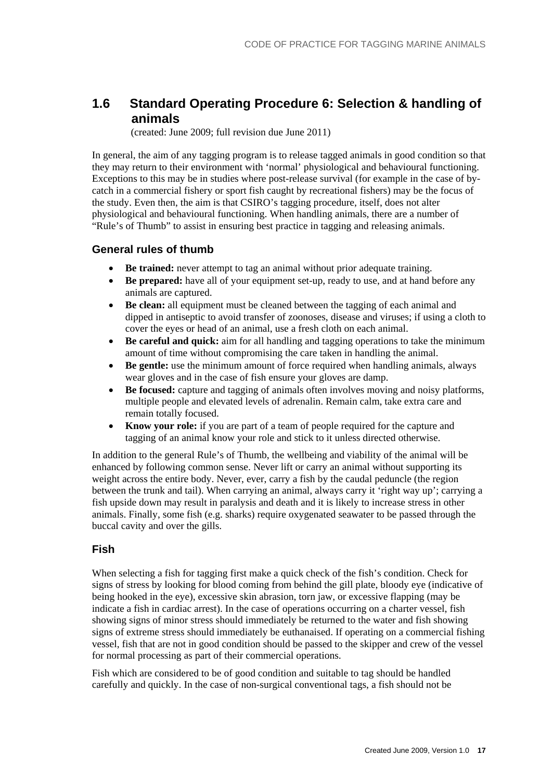## <span id="page-16-0"></span>**1.6 Standard Operating Procedure 6: Selection & handling of animals**

(created: June 2009; full revision due June 2011)

In general, the aim of any tagging program is to release tagged animals in good condition so that they may return to their environment with 'normal' physiological and behavioural functioning. Exceptions to this may be in studies where post-release survival (for example in the case of bycatch in a commercial fishery or sport fish caught by recreational fishers) may be the focus of the study. Even then, the aim is that CSIRO's tagging procedure, itself, does not alter physiological and behavioural functioning. When handling animals, there are a number of "Rule's of Thumb" to assist in ensuring best practice in tagging and releasing animals.

#### <span id="page-16-1"></span>**General rules of thumb**

- **Be trained:** never attempt to tag an animal without prior adequate training.
- **Be prepared:** have all of your equipment set-up, ready to use, and at hand before any animals are captured.
- **Be clean:** all equipment must be cleaned between the tagging of each animal and dipped in antiseptic to avoid transfer of zoonoses, disease and viruses; if using a cloth to cover the eyes or head of an animal, use a fresh cloth on each animal.
- **Be careful and quick:** aim for all handling and tagging operations to take the minimum amount of time without compromising the care taken in handling the animal.
- **Be gentle:** use the minimum amount of force required when handling animals, always wear gloves and in the case of fish ensure your gloves are damp.
- **Be focused:** capture and tagging of animals often involves moving and noisy platforms, multiple people and elevated levels of adrenalin. Remain calm, take extra care and remain totally focused.
- **Know your role:** if you are part of a team of people required for the capture and tagging of an animal know your role and stick to it unless directed otherwise.

In addition to the general Rule's of Thumb, the wellbeing and viability of the animal will be enhanced by following common sense. Never lift or carry an animal without supporting its weight across the entire body. Never, ever, carry a fish by the caudal peduncle (the region between the trunk and tail). When carrying an animal, always carry it 'right way up'; carrying a fish upside down may result in paralysis and death and it is likely to increase stress in other animals. Finally, some fish (e.g. sharks) require oxygenated seawater to be passed through the buccal cavity and over the gills.

#### <span id="page-16-2"></span>**Fish**

When selecting a fish for tagging first make a quick check of the fish's condition. Check for signs of stress by looking for blood coming from behind the gill plate, bloody eye (indicative of being hooked in the eye), excessive skin abrasion, torn jaw, or excessive flapping (may be indicate a fish in cardiac arrest). In the case of operations occurring on a charter vessel, fish showing signs of minor stress should immediately be returned to the water and fish showing signs of extreme stress should immediately be euthanaised. If operating on a commercial fishing vessel, fish that are not in good condition should be passed to the skipper and crew of the vessel for normal processing as part of their commercial operations.

Fish which are considered to be of good condition and suitable to tag should be handled carefully and quickly. In the case of non-surgical conventional tags, a fish should not be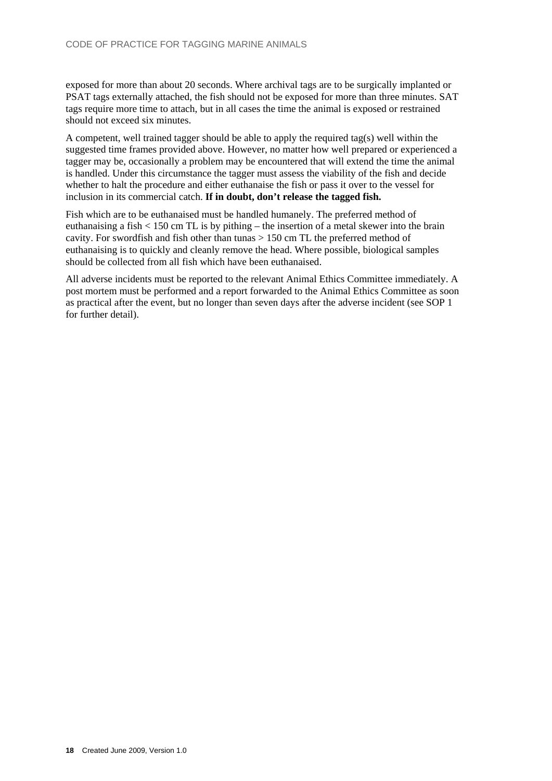exposed for more than about 20 seconds. Where archival tags are to be surgically implanted or PSAT tags externally attached, the fish should not be exposed for more than three minutes. SAT tags require more time to attach, but in all cases the time the animal is exposed or restrained should not exceed six minutes.

A competent, well trained tagger should be able to apply the required tag(s) well within the suggested time frames provided above. However, no matter how well prepared or experienced a tagger may be, occasionally a problem may be encountered that will extend the time the animal is handled. Under this circumstance the tagger must assess the viability of the fish and decide whether to halt the procedure and either euthanaise the fish or pass it over to the vessel for inclusion in its commercial catch. **If in doubt, don't release the tagged fish.** 

Fish which are to be euthanaised must be handled humanely. The preferred method of euthanaising a fish < 150 cm TL is by pithing – the insertion of a metal skewer into the brain cavity. For swordfish and fish other than tunas > 150 cm TL the preferred method of euthanaising is to quickly and cleanly remove the head. Where possible, biological samples should be collected from all fish which have been euthanaised.

All adverse incidents must be reported to the relevant Animal Ethics Committee immediately. A post mortem must be performed and a report forwarded to the Animal Ethics Committee as soon as practical after the event, but no longer than seven days after the adverse incident (see SOP 1 for further detail).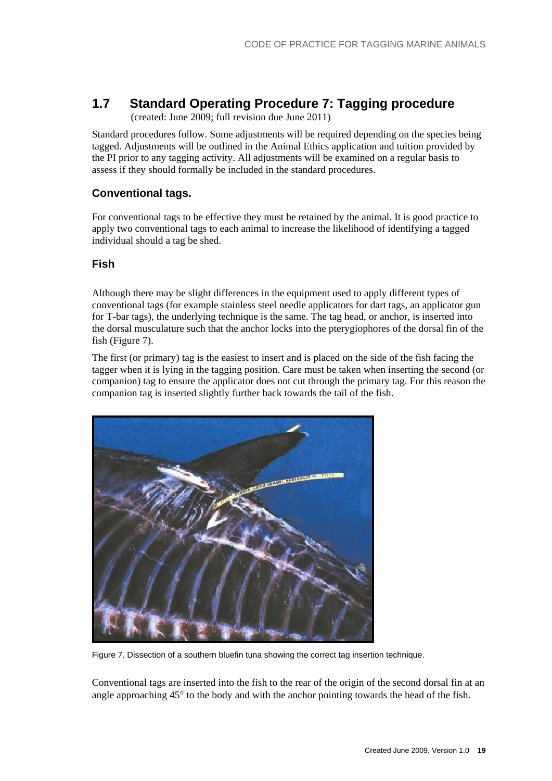## <span id="page-18-0"></span>**1.7 Standard Operating Procedure 7: Tagging procedure**

(created: June 2009; full revision due June 2011)

Standard procedures follow. Some adjustments will be required depending on the species being tagged. Adjustments will be outlined in the Animal Ethics application and tuition provided by the PI prior to any tagging activity. All adjustments will be examined on a regular basis to assess if they should formally be included in the standard procedures.

### <span id="page-18-1"></span>**Conventional tags.**

For conventional tags to be effective they must be retained by the animal. It is good practice to apply two conventional tags to each animal to increase the likelihood of identifying a tagged individual should a tag be shed.

### <span id="page-18-2"></span>**Fish**

Although there may be slight differences in the equipment used to apply different types of conventional tags (for example stainless steel needle applicators for dart tags, an applicator gun for T-bar tags), the underlying technique is the same. The tag head, or anchor, is inserted into the dorsal musculature such that the anchor locks into the pterygiophores of the dorsal fin of the fish (Figure 7).

The first (or primary) tag is the easiest to insert and is placed on the side of the fish facing the tagger when it is lying in the tagging position. Care must be taken when inserting the second (or companion) tag to ensure the applicator does not cut through the primary tag. For this reason the companion tag is inserted slightly further back towards the tail of the fish.



Figure 7. Dissection of a southern bluefin tuna showing the correct tag insertion technique.

Conventional tags are inserted into the fish to the rear of the origin of the second dorsal fin at an angle approaching  $45^{\circ}$  to the body and with the anchor pointing towards the head of the fish.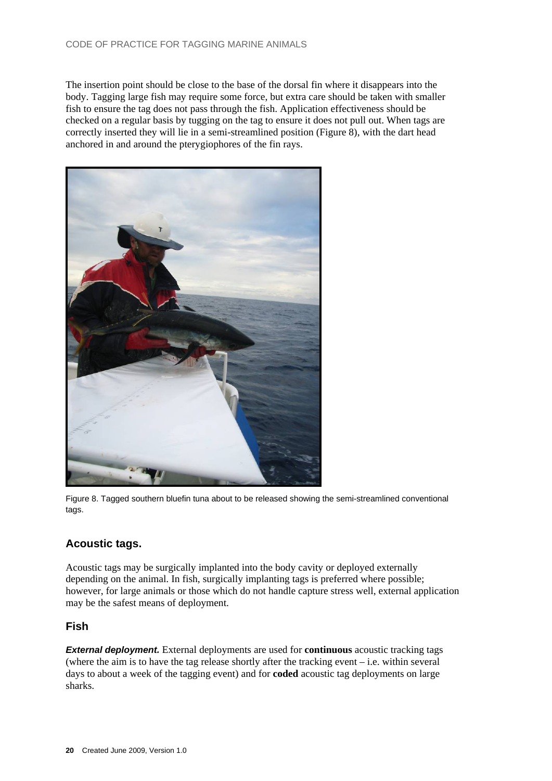The insertion point should be close to the base of the dorsal fin where it disappears into the body. Tagging large fish may require some force, but extra care should be taken with smaller fish to ensure the tag does not pass through the fish. Application effectiveness should be checked on a regular basis by tugging on the tag to ensure it does not pull out. When tags are correctly inserted they will lie in a semi-streamlined position (Figure 8), with the dart head anchored in and around the pterygiophores of the fin rays.



Figure 8. Tagged southern bluefin tuna about to be released showing the semi-streamlined conventional tags.

### <span id="page-19-0"></span>**Acoustic tags.**

Acoustic tags may be surgically implanted into the body cavity or deployed externally depending on the animal. In fish, surgically implanting tags is preferred where possible; however, for large animals or those which do not handle capture stress well, external application may be the safest means of deployment.

#### <span id="page-19-1"></span>**Fish**

*External deployment.* External deployments are used for **continuous** acoustic tracking tags (where the aim is to have the tag release shortly after the tracking event – i.e. within several days to about a week of the tagging event) and for **coded** acoustic tag deployments on large sharks.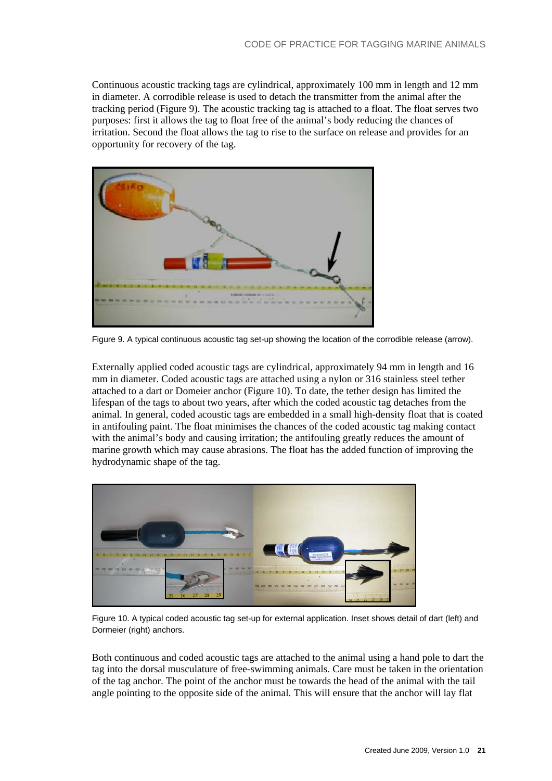Continuous acoustic tracking tags are cylindrical, approximately 100 mm in length and 12 mm in diameter. A corrodible release is used to detach the transmitter from the animal after the tracking period (Figure 9). The acoustic tracking tag is attached to a float. The float serves two purposes: first it allows the tag to float free of the animal's body reducing the chances of irritation. Second the float allows the tag to rise to the surface on release and provides for an opportunity for recovery of the tag.



Figure 9. A typical continuous acoustic tag set-up showing the location of the corrodible release (arrow).

Externally applied coded acoustic tags are cylindrical, approximately 94 mm in length and 16 mm in diameter. Coded acoustic tags are attached using a nylon or 316 stainless steel tether attached to a dart or Domeier anchor (Figure 10). To date, the tether design has limited the lifespan of the tags to about two years, after which the coded acoustic tag detaches from the animal. In general, coded acoustic tags are embedded in a small high-density float that is coated in antifouling paint. The float minimises the chances of the coded acoustic tag making contact with the animal's body and causing irritation; the antifouling greatly reduces the amount of marine growth which may cause abrasions. The float has the added function of improving the hydrodynamic shape of the tag.



Figure 10. A typical coded acoustic tag set-up for external application. Inset shows detail of dart (left) and Dormeier (right) anchors.

Both continuous and coded acoustic tags are attached to the animal using a hand pole to dart the tag into the dorsal musculature of free-swimming animals. Care must be taken in the orientation of the tag anchor. The point of the anchor must be towards the head of the animal with the tail angle pointing to the opposite side of the animal. This will ensure that the anchor will lay flat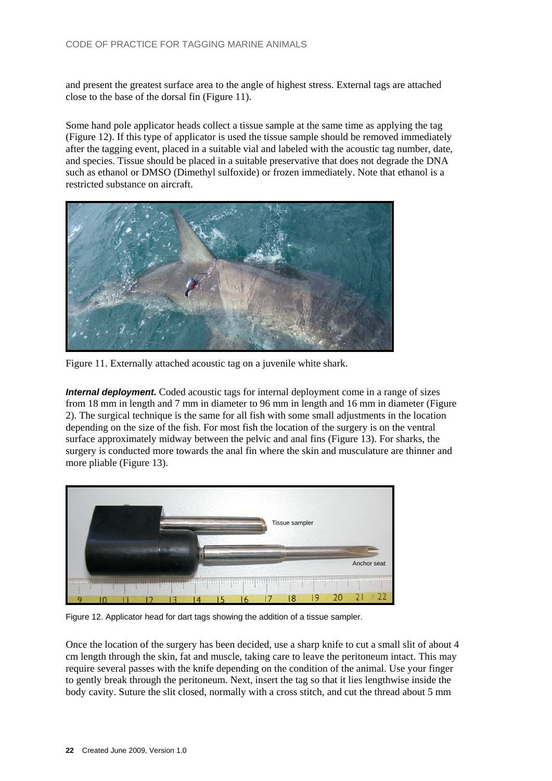and present the greatest surface area to the angle of highest stress. External tags are attached close to the base of the dorsal fin (Figure 11).

Some hand pole applicator heads collect a tissue sample at the same time as applying the tag (Figure 12). If this type of applicator is used the tissue sample should be removed immediately after the tagging event, placed in a suitable vial and labeled with the acoustic tag number, date, and species. Tissue should be placed in a suitable preservative that does not degrade the DNA such as ethanol or DMSO (Dimethyl sulfoxide) or frozen immediately. Note that ethanol is a restricted substance on aircraft.



Figure 11. Externally attached acoustic tag on a juvenile white shark.

*Internal deployment.* Coded acoustic tags for internal deployment come in a range of sizes from 18 mm in length and 7 mm in diameter to 96 mm in length and 16 mm in diameter (Figure 2). The surgical technique is the same for all fish with some small adjustments in the location depending on the size of the fish. For most fish the location of the surgery is on the ventral surface approximately midway between the pelvic and anal fins (Figure 13). For sharks, the surgery is conducted more towards the anal fin where the skin and musculature are thinner and more pliable (Figure 13).



Figure 12. Applicator head for dart tags showing the addition of a tissue sampler.

Once the location of the surgery has been decided, use a sharp knife to cut a small slit of about 4 cm length through the skin, fat and muscle, taking care to leave the peritoneum intact. This may require several passes with the knife depending on the condition of the animal. Use your finger to gently break through the peritoneum. Next, insert the tag so that it lies lengthwise inside the body cavity. Suture the slit closed, normally with a cross stitch, and cut the thread about 5 mm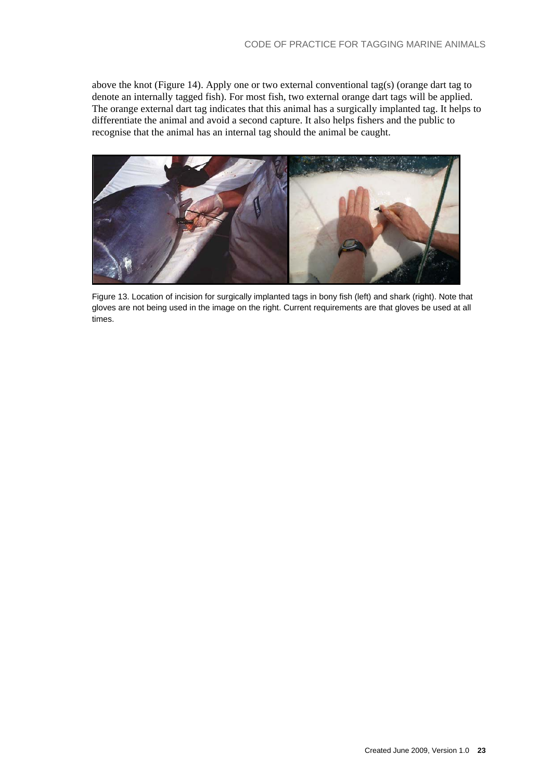above the knot (Figure 14). Apply one or two external conventional tag(s) (orange dart tag to denote an internally tagged fish). For most fish, two external orange dart tags will be applied. The orange external dart tag indicates that this animal has a surgically implanted tag. It helps to differentiate the animal and avoid a second capture. It also helps fishers and the public to recognise that the animal has an internal tag should the animal be caught.



Figure 13. Location of incision for surgically implanted tags in bony fish (left) and shark (right). Note that gloves are not being used in the image on the right. Current requirements are that gloves be used at all times.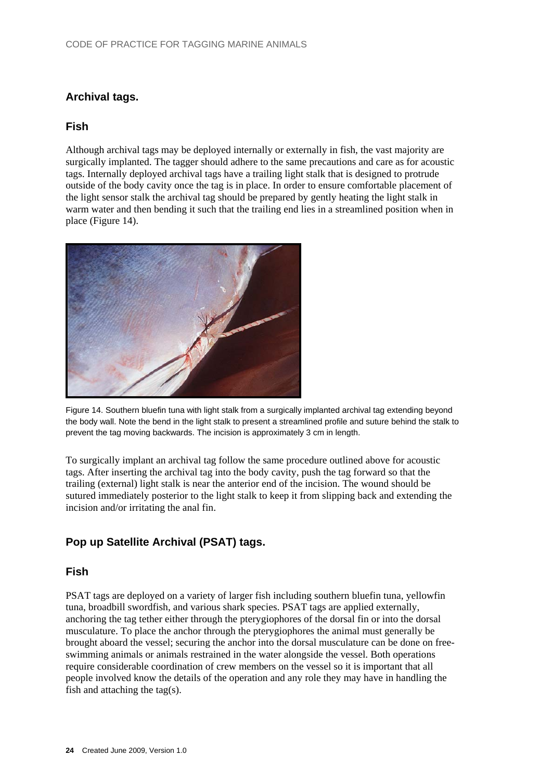### **Archival tags.**

#### <span id="page-23-1"></span>**Fish**

Although archival tags may be deployed internally or externally in fish, the vast majority are surgically implanted. The tagger should adhere to the same precautions and care as for acoustic tags. Internally deployed archival tags have a trailing light stalk that is designed to protrude outside of the body cavity once the tag is in place. In order to ensure comfortable placement of the light sensor stalk the archival tag should be prepared by gently heating the light stalk in warm water and then bending it such that the trailing end lies in a streamlined position when in place (Figure 14).



<span id="page-23-0"></span>Figure 14. Southern bluefin tuna with light stalk from a surgically implanted archival tag extending beyond the body wall. Note the bend in the light stalk to present a streamlined profile and suture behind the stalk to prevent the tag moving backwards. The incision is approximately 3 cm in length.

To surgically implant an archival tag follow the same procedure outlined above for acoustic tags. After inserting the archival tag into the body cavity, push the tag forward so that the trailing (external) light stalk is near the anterior end of the incision. The wound should be sutured immediately posterior to the light stalk to keep it from slipping back and extending the incision and/or irritating the anal fin.

### <span id="page-23-2"></span>**Pop up Satellite Archival (PSAT) tags.**

#### <span id="page-23-3"></span>**Fish**

PSAT tags are deployed on a variety of larger fish including southern bluefin tuna, yellowfin tuna, broadbill swordfish, and various shark species. PSAT tags are applied externally, anchoring the tag tether either through the pterygiophores of the dorsal fin or into the dorsal musculature. To place the anchor through the pterygiophores the animal must generally be brought aboard the vessel; securing the anchor into the dorsal musculature can be done on freeswimming animals or animals restrained in the water alongside the vessel. Both operations require considerable coordination of crew members on the vessel so it is important that all people involved know the details of the operation and any role they may have in handling the fish and attaching the tag(s).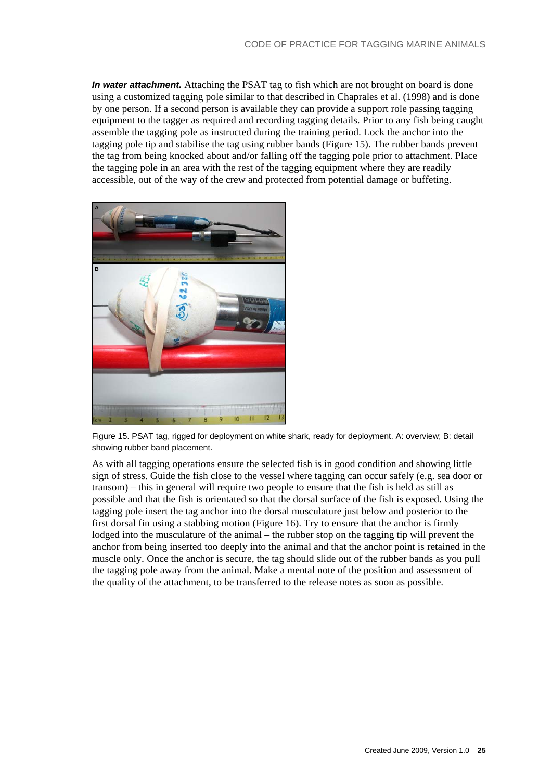*In water attachment.* Attaching the PSAT tag to fish which are not brought on board is done using a customized tagging pole similar to that described in Chaprales et al. (1998) and is done by one person. If a second person is available they can provide a support role passing tagging equipment to the tagger as required and recording tagging details. Prior to any fish being caught assemble the tagging pole as instructed during the training period. Lock the anchor into the tagging pole tip and stabilise the tag using rubber bands (Figure 15). The rubber bands prevent the tag from being knocked about and/or falling off the tagging pole prior to attachment. Place the tagging pole in an area with the rest of the tagging equipment where they are readily accessible, out of the way of the crew and protected from potential damage or buffeting.



Figure 15. PSAT tag, rigged for deployment on white shark, ready for deployment. A: overview; B: detail showing rubber band placement.

As with all tagging operations ensure the selected fish is in good condition and showing little sign of stress. Guide the fish close to the vessel where tagging can occur safely (e.g. sea door or transom) – this in general will require two people to ensure that the fish is held as still as possible and that the fish is orientated so that the dorsal surface of the fish is exposed. Using the tagging pole insert the tag anchor into the dorsal musculature just below and posterior to the first dorsal fin using a stabbing motion (Figure 16). Try to ensure that the anchor is firmly lodged into the musculature of the animal – the rubber stop on the tagging tip will prevent the anchor from being inserted too deeply into the animal and that the anchor point is retained in the muscle only. Once the anchor is secure, the tag should slide out of the rubber bands as you pull the tagging pole away from the animal. Make a mental note of the position and assessment of the quality of the attachment, to be transferred to the release notes as soon as possible.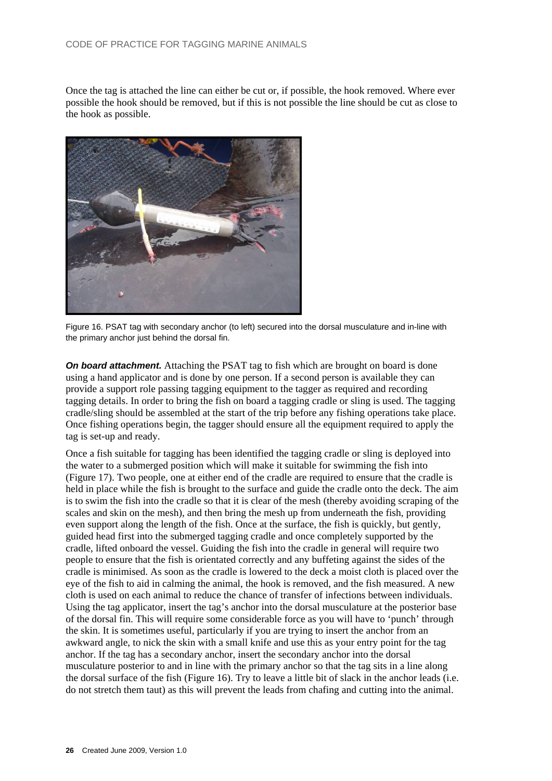Once the tag is attached the line can either be cut or, if possible, the hook removed. Where ever possible the hook should be removed, but if this is not possible the line should be cut as close to the hook as possible.



Figure 16. PSAT tag with secondary anchor (to left) secured into the dorsal musculature and in-line with the primary anchor just behind the dorsal fin.

**On board attachment.** Attaching the PSAT tag to fish which are brought on board is done using a hand applicator and is done by one person. If a second person is available they can provide a support role passing tagging equipment to the tagger as required and recording tagging details. In order to bring the fish on board a tagging cradle or sling is used. The tagging cradle/sling should be assembled at the start of the trip before any fishing operations take place. Once fishing operations begin, the tagger should ensure all the equipment required to apply the tag is set-up and ready.

Once a fish suitable for tagging has been identified the tagging cradle or sling is deployed into the water to a submerged position which will make it suitable for swimming the fish into (Figure 17). Two people, one at either end of the cradle are required to ensure that the cradle is held in place while the fish is brought to the surface and guide the cradle onto the deck. The aim is to swim the fish into the cradle so that it is clear of the mesh (thereby avoiding scraping of the scales and skin on the mesh), and then bring the mesh up from underneath the fish, providing even support along the length of the fish. Once at the surface, the fish is quickly, but gently, guided head first into the submerged tagging cradle and once completely supported by the cradle, lifted onboard the vessel. Guiding the fish into the cradle in general will require two people to ensure that the fish is orientated correctly and any buffeting against the sides of the cradle is minimised. As soon as the cradle is lowered to the deck a moist cloth is placed over the eye of the fish to aid in calming the animal, the hook is removed, and the fish measured. A new cloth is used on each animal to reduce the chance of transfer of infections between individuals. Using the tag applicator, insert the tag's anchor into the dorsal musculature at the posterior base of the dorsal fin. This will require some considerable force as you will have to 'punch' through the skin. It is sometimes useful, particularly if you are trying to insert the anchor from an awkward angle, to nick the skin with a small knife and use this as your entry point for the tag anchor. If the tag has a secondary anchor, insert the secondary anchor into the dorsal musculature posterior to and in line with the primary anchor so that the tag sits in a line along the dorsal surface of the fish (Figure 16). Try to leave a little bit of slack in the anchor leads (i.e. do not stretch them taut) as this will prevent the leads from chafing and cutting into the animal.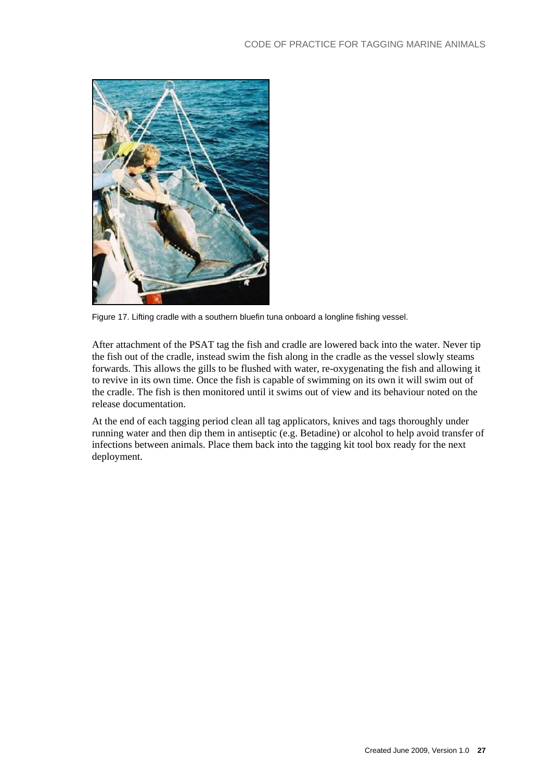

Figure 17. Lifting cradle with a southern bluefin tuna onboard a longline fishing vessel.

After attachment of the PSAT tag the fish and cradle are lowered back into the water. Never tip the fish out of the cradle, instead swim the fish along in the cradle as the vessel slowly steams forwards. This allows the gills to be flushed with water, re-oxygenating the fish and allowing it to revive in its own time. Once the fish is capable of swimming on its own it will swim out of the cradle. The fish is then monitored until it swims out of view and its behaviour noted on the release documentation.

At the end of each tagging period clean all tag applicators, knives and tags thoroughly under running water and then dip them in antiseptic (e.g. Betadine) or alcohol to help avoid transfer of infections between animals. Place them back into the tagging kit tool box ready for the next deployment.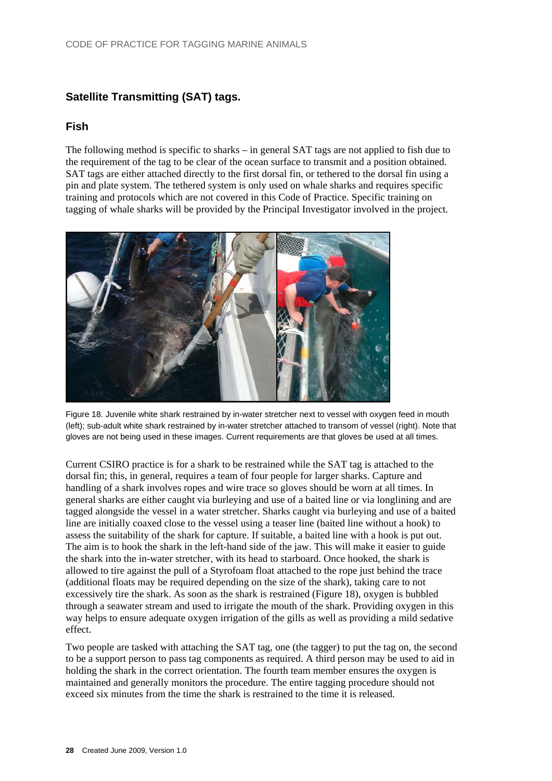### **Satellite Transmitting (SAT) tags.**

#### <span id="page-27-1"></span>**Fish**

The following method is specific to sharks – in general SAT tags are not applied to fish due to the requirement of the tag to be clear of the ocean surface to transmit and a position obtained. SAT tags are either attached directly to the first dorsal fin, or tethered to the dorsal fin using a pin and plate system. The tethered system is only used on whale sharks and requires specific training and protocols which are not covered in this Code of Practice. Specific training on tagging of whale sharks will be provided by the Principal Investigator involved in the project.



Figure 18. Juvenile white shark restrained by in-water stretcher next to vessel with oxygen feed in mouth (left); sub-adult white shark restrained by in-water stretcher attached to transom of vessel (right). Note that gloves are not being used in these images. Current requirements are that gloves be used at all times.

<span id="page-27-0"></span>Current CSIRO practice is for a shark to be restrained while the SAT tag is attached to the dorsal fin; this, in general, requires a team of four people for larger sharks. Capture and handling of a shark involves ropes and wire trace so gloves should be worn at all times. In general sharks are either caught via burleying and use of a baited line or via longlining and are tagged alongside the vessel in a water stretcher. Sharks caught via burleying and use of a baited line are initially coaxed close to the vessel using a teaser line (baited line without a hook) to assess the suitability of the shark for capture. If suitable, a baited line with a hook is put out. The aim is to hook the shark in the left-hand side of the jaw. This will make it easier to guide the shark into the in-water stretcher, with its head to starboard. Once hooked, the shark is allowed to tire against the pull of a Styrofoam float attached to the rope just behind the trace (additional floats may be required depending on the size of the shark), taking care to not excessively tire the shark. As soon as the shark is restrained (Figure 18), oxygen is bubbled through a seawater stream and used to irrigate the mouth of the shark. Providing oxygen in this way helps to ensure adequate oxygen irrigation of the gills as well as providing a mild sedative effect.

Two people are tasked with attaching the SAT tag, one (the tagger) to put the tag on, the second to be a support person to pass tag components as required. A third person may be used to aid in holding the shark in the correct orientation. The fourth team member ensures the oxygen is maintained and generally monitors the procedure. The entire tagging procedure should not exceed six minutes from the time the shark is restrained to the time it is released.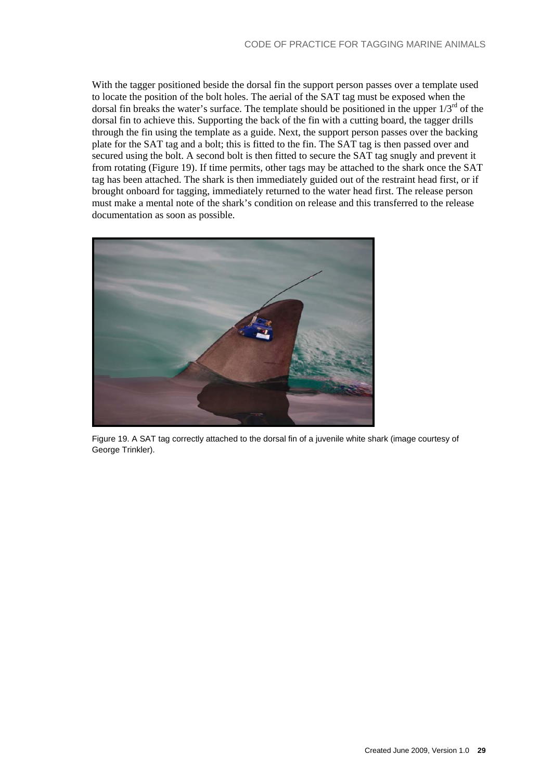With the tagger positioned beside the dorsal fin the support person passes over a template used to locate the position of the bolt holes. The aerial of the SAT tag must be exposed when the dorsal fin breaks the water's surface. The template should be positioned in the upper  $1/3^{rd}$  of the dorsal fin to achieve this. Supporting the back of the fin with a cutting board, the tagger drills through the fin using the template as a guide. Next, the support person passes over the backing plate for the SAT tag and a bolt; this is fitted to the fin. The SAT tag is then passed over and secured using the bolt. A second bolt is then fitted to secure the SAT tag snugly and prevent it from rotating (Figure 19). If time permits, other tags may be attached to the shark once the SAT tag has been attached. The shark is then immediately guided out of the restraint head first, or if brought onboard for tagging, immediately returned to the water head first. The release person must make a mental note of the shark's condition on release and this transferred to the release documentation as soon as possible.



Figure 19. A SAT tag correctly attached to the dorsal fin of a juvenile white shark (image courtesy of George Trinkler).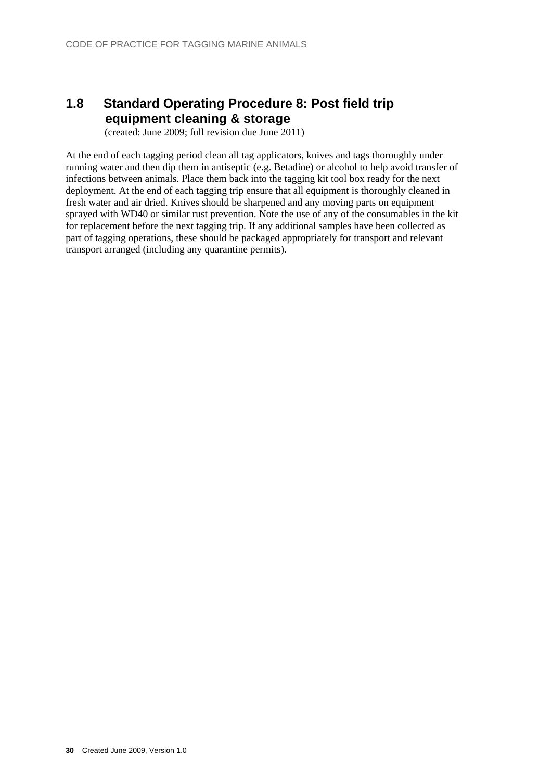# <span id="page-29-0"></span>**1.8 Standard Operating Procedure 8: Post field trip equipment cleaning & storage**

(created: June 2009; full revision due June 2011)

At the end of each tagging period clean all tag applicators, knives and tags thoroughly under running water and then dip them in antiseptic (e.g. Betadine) or alcohol to help avoid transfer of infections between animals. Place them back into the tagging kit tool box ready for the next deployment. At the end of each tagging trip ensure that all equipment is thoroughly cleaned in fresh water and air dried. Knives should be sharpened and any moving parts on equipment sprayed with WD40 or similar rust prevention. Note the use of any of the consumables in the kit for replacement before the next tagging trip. If any additional samples have been collected as part of tagging operations, these should be packaged appropriately for transport and relevant transport arranged (including any quarantine permits).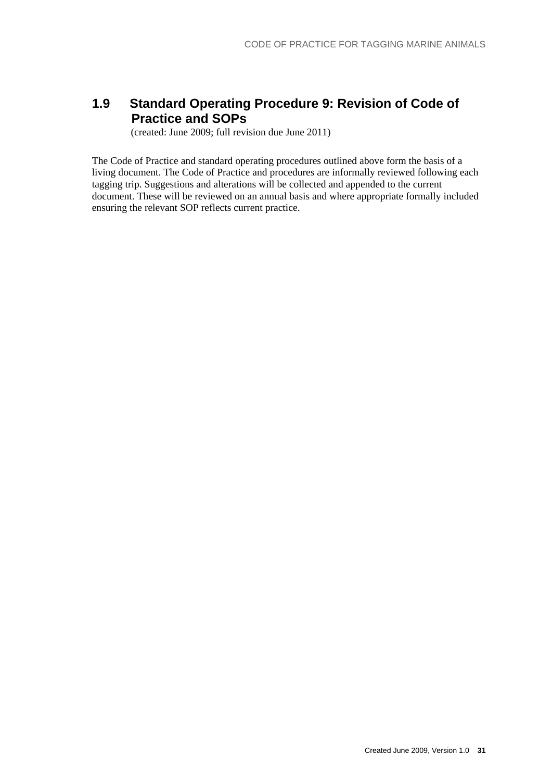## <span id="page-30-0"></span>**1.9 Standard Operating Procedure 9: Revision of Code of Practice and SOPs**

(created: June 2009; full revision due June 2011)

The Code of Practice and standard operating procedures outlined above form the basis of a living document. The Code of Practice and procedures are informally reviewed following each tagging trip. Suggestions and alterations will be collected and appended to the current document. These will be reviewed on an annual basis and where appropriate formally included ensuring the relevant SOP reflects current practice.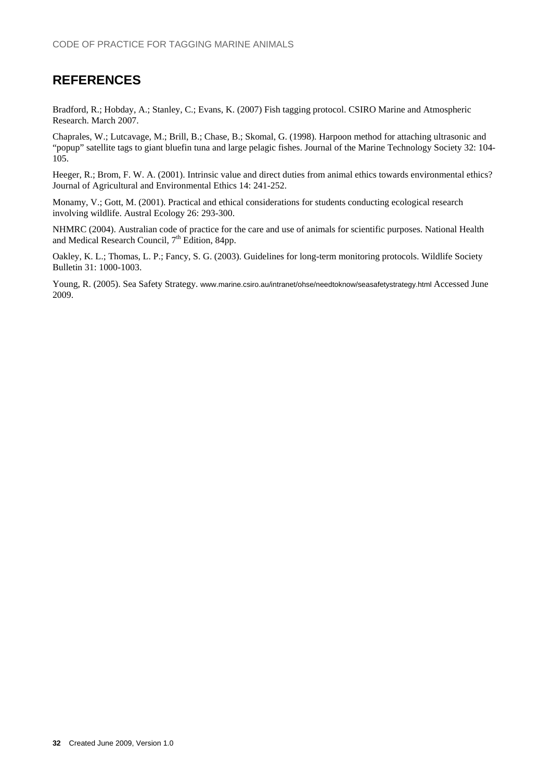## <span id="page-31-0"></span>**REFERENCES**

Bradford, R.; Hobday, A.; Stanley, C.; Evans, K. (2007) Fish tagging protocol. CSIRO Marine and Atmospheric Research. March 2007.

Chaprales, W.; Lutcavage, M.; Brill, B.; Chase, B.; Skomal, G. (1998). Harpoon method for attaching ultrasonic and "popup" satellite tags to giant bluefin tuna and large pelagic fishes. Journal of the Marine Technology Society 32: 104- 105.

Heeger, R.; Brom, F. W. A. (2001). Intrinsic value and direct duties from animal ethics towards environmental ethics? Journal of Agricultural and Environmental Ethics 14: 241-252.

Monamy, V.; Gott, M. (2001). Practical and ethical considerations for students conducting ecological research involving wildlife. Austral Ecology 26: 293-300.

NHMRC (2004). Australian code of practice for the care and use of animals for scientific purposes. National Health and Medical Research Council, 7<sup>th</sup> Edition, 84pp.

Oakley, K. L.; Thomas, L. P.; Fancy, S. G. (2003). Guidelines for long-term monitoring protocols. Wildlife Society Bulletin 31: 1000-1003.

Young, R. (2005). Sea Safety Strategy. www.marine.csiro.au/intranet/ohse/needtoknow/seasafetystrategy.html Accessed June 2009.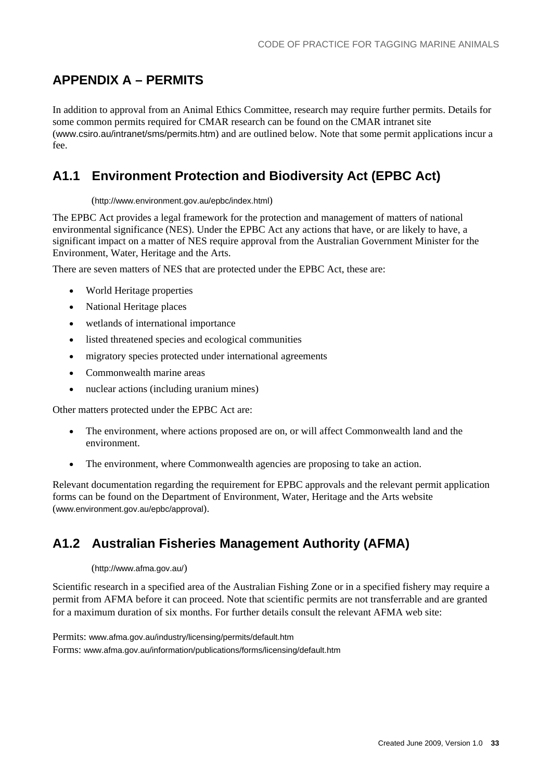# **APPENDIX A – PERMITS**

In addition to approval from an Animal Ethics Committee, research may require further permits. Details for some common permits required for CMAR research can be found on the CMAR intranet site (www.csiro.au/intranet/sms/permits.htm) and are outlined below. Note that some permit applications incur a fee.

## <span id="page-32-1"></span>**A1.1 Environment Protection and Biodiversity Act (EPBC Act)**

#### (http://www.environment.gov.au/epbc/index.html)

The EPBC Act provides a legal framework for the protection and management of matters of national environmental significance (NES). Under the EPBC Act any actions that have, or are likely to have, a significant impact on a matter of NES require approval from the Australian Government Minister for the Environment, Water, Heritage and the Arts.

There are seven matters of NES that are protected under the EPBC Act, these are:

- World Heritage properties
- National Heritage places
- wetlands of international importance
- <span id="page-32-0"></span>listed threatened species and ecological communities
- migratory species protected under international agreements
- Commonwealth marine areas
- nuclear actions (including uranium mines)

Other matters protected under the EPBC Act are:

- The environment, where actions proposed are on, or will affect Commonwealth land and the environment.
- The environment, where Commonwealth agencies are proposing to take an action.

Relevant documentation regarding the requirement for EPBC approvals and the relevant permit application forms can be found on the Department of Environment, Water, Heritage and the Arts website (www.environment.gov.au/epbc/approval).

## <span id="page-32-2"></span>**A1.2 Australian Fisheries Management Authority (AFMA)**

#### (http://www.afma.gov.au/)

Scientific research in a specified area of the Australian Fishing Zone or in a specified fishery may require a permit from AFMA before it can proceed. Note that scientific permits are not transferrable and are granted for a maximum duration of six months. For further details consult the relevant AFMA web site:

Permits: www.afma.gov.au/industry/licensing/permits/default.htm Forms: www.afma.gov.au/information/publications/forms/licensing/default.htm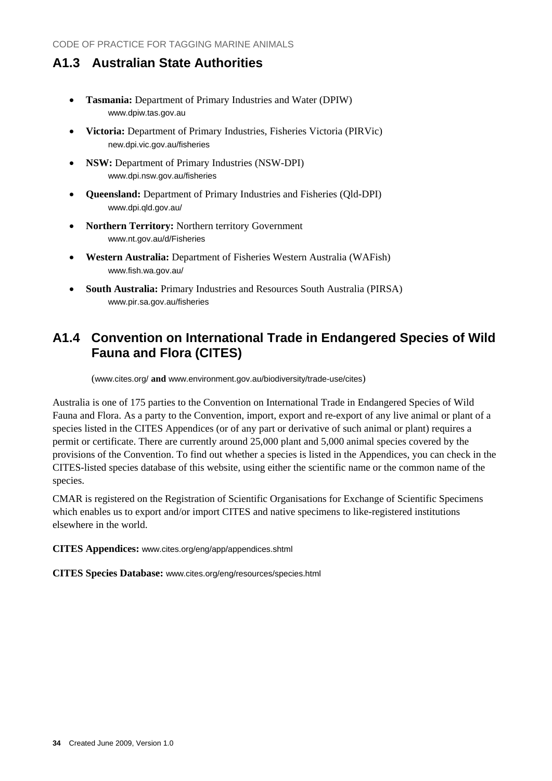## <span id="page-33-0"></span>**A1.3 Australian State Authorities**

- **Tasmania:** Department of Primary Industries and Water (DPIW) www.dpiw.tas.gov.au
- **Victoria:** Department of Primary Industries, Fisheries Victoria (PIRVic) new.dpi.vic.gov.au/fisheries
- **NSW:** Department of Primary Industries (NSW-DPI) www.dpi.nsw.gov.au/fisheries
- **Queensland:** Department of Primary Industries and Fisheries (Qld-DPI) www.dpi.qld.gov.au/
- **Northern Territory:** Northern territory Government www.nt.gov.au/d/Fisheries
- **Western Australia:** Department of Fisheries Western Australia (WAFish) www.fish.wa.gov.au/
- **South Australia:** Primary Industries and Resources South Australia (PIRSA) www.pir.sa.gov.au/fisheries

## <span id="page-33-1"></span>**A1.4 Convention on International Trade in Endangered Species of Wild Fauna and Flora (CITES)**

(www.cites.org/ **and** www.environment.gov.au/biodiversity/trade-use/cites)

Australia is one of 175 parties to the Convention on International Trade in Endangered Species of Wild Fauna and Flora. As a party to the Convention, import, export and re-export of any live animal or plant of a species listed in the CITES Appendices (or of any part or derivative of such animal or plant) requires a permit or certificate. There are currently around 25,000 plant and 5,000 animal species covered by the provisions of the Convention. To find out whether a species is listed in the Appendices, you can check in the CITES-listed species database of this website, using either the scientific name or the common name of the species.

CMAR is registered on the Registration of Scientific Organisations for Exchange of Scientific Specimens which enables us to export and/or import CITES and native specimens to like-registered institutions elsewhere in the world.

**CITES Appendices:** www.cites.org/eng/app/appendices.shtml

**CITES Species Database:** www.cites.org/eng/resources/species.html